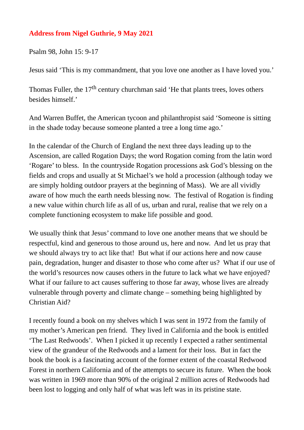## **Address from Nigel Guthrie, 9 May 2021**

Psalm 98, John 15: 9-17

Jesus said 'This is my commandment, that you love one another as I have loved you.'

Thomas Fuller, the  $17<sup>th</sup>$  century churchman said 'He that plants trees, loves others besides himself.'

And Warren Buffet, the American tycoon and philanthropist said 'Someone is sitting in the shade today because someone planted a tree a long time ago.'

In the calendar of the Church of England the next three days leading up to the Ascension, are called Rogation Days; the word Rogation coming from the latin word 'Rogare' to bless. In the countryside Rogation processions ask God's blessing on the fields and crops and usually at St Michael's we hold a procession (although today we are simply holding outdoor prayers at the beginning of Mass). We are all vividly aware of how much the earth needs blessing now. The festival of Rogation is finding a new value within church life as all of us, urban and rural, realise that we rely on a complete functioning ecosystem to make life possible and good.

We usually think that Jesus' command to love one another means that we should be respectful, kind and generous to those around us, here and now. And let us pray that we should always try to act like that! But what if our actions here and now cause pain, degradation, hunger and disaster to those who come after us? What if our use of the world's resources now causes others in the future to lack what we have enjoyed? What if our failure to act causes suffering to those far away, whose lives are already vulnerable through poverty and climate change – something being highlighted by Christian Aid?

I recently found a book on my shelves which I was sent in 1972 from the family of my mother's American pen friend. They lived in California and the book is entitled 'The Last Redwoods'. When I picked it up recently I expected a rather sentimental view of the grandeur of the Redwoods and a lament for their loss. But in fact the book the book is a fascinating account of the former extent of the coastal Redwood Forest in northern California and of the attempts to secure its future. When the book was written in 1969 more than 90% of the original 2 million acres of Redwoods had been lost to logging and only half of what was left was in its pristine state.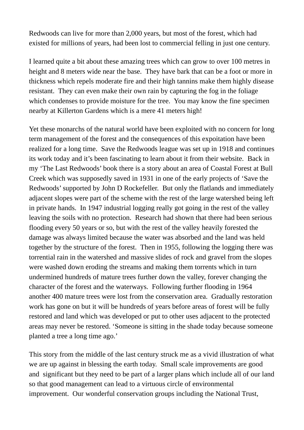Redwoods can live for more than 2,000 years, but most of the forest, which had existed for millions of years, had been lost to commercial felling in just one century.

I learned quite a bit about these amazing trees which can grow to over 100 metres in height and 8 meters wide near the base. They have bark that can be a foot or more in thickness which repels moderate fire and their high tannins make them highly disease resistant. They can even make their own rain by capturing the fog in the foliage which condenses to provide moisture for the tree. You may know the fine specimen nearby at Killerton Gardens which is a mere 41 meters high!

Yet these monarchs of the natural world have been exploited with no concern for long term management of the forest and the consequences of this expoitation have been realized for a long time. Save the Redwoods league was set up in 1918 and continues its work today and it's been fascinating to learn about it from their website. Back in my 'The Last Redwoods' book there is a story about an area of Coastal Forest at Bull Creek which was supposedly saved in 1931 in one of the early projects of 'Save the Redwoods' supported by John D Rockefeller. But only the flatlands and immediately adjacent slopes were part of the scheme with the rest of the large watershed being left in private hands. In 1947 industrial logging really got going in the rest of the valley leaving the soils with no protection. Research had shown that there had been serious flooding every 50 years or so, but with the rest of the valley heavily forested the damage was always limited because the water was absorbed and the land was held together by the structure of the forest. Then in 1955, following the logging there was torrential rain in the watershed and massive slides of rock and gravel from the slopes were washed down eroding the streams and making them torrents which in turn undermined hundreds of mature trees further down the valley, forever changing the character of the forest and the waterways. Following further flooding in 1964 another 400 mature trees were lost from the conservation area. Gradually restoration work has gone on but it will be hundreds of years before areas of forest will be fully restored and land which was developed or put to other uses adjacent to the protected areas may never be restored. 'Someone is sitting in the shade today because someone planted a tree a long time ago.'

This story from the middle of the last century struck me as a vivid illustration of what we are up against in blessing the earth today. Small scale improvements are good and significant but they need to be part of a larger plans which include all of our land so that good management can lead to a virtuous circle of environmental improvement. Our wonderful conservation groups including the National Trust,